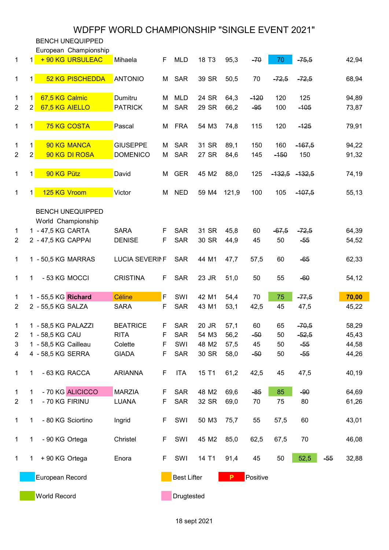BENCH UNEQUIPPED European Championship 1 1 + 90 KG URSULEAC Mihaela F MLD 18 T3 95,3 - 70 - 75,5 42,94 1 1 52 KG PISCHEDDA ANTONIO M SAR 39 SR 50,5 70 <del>-72,5</del> -<del>72,5</del> 68,94 1 1 67,5 KG Calmic **Dumitru** M MLD 24 SR 64,3 - 120 120 125 94,89 2 2 <mark>67,5 KG AIELLO PATRICK M SAR 29 SR 66,2 -<del>95</del> 100 -<del>105</del> 73,87</mark> 1 1 <mark>75 KG COSTA </mark>Pascal M FRA 54 M3 74,8 115 120 <del>-125</del> 79,91 1 1 <mark>90 KG MANCA </mark>GIUSEPPE M SAR 31 SR 89,1 150 160 <del>-167,5</del> 94,22 2 2 90 KG DI ROSA DOMENICO M SAR 27 SR 84,6 145 - 150 150 91,32 1 1 90 KG Pütz David M GER 45 M2 88,0 125 -132,5 -132,5 74,19 1 1 125 KG Vroom Victor M NED 59 M4 121,9 100 105 <del>-107,5</del> 55,13 BENCH UNEQUIPPED World Championship 1 1 -47,5 KG CARTA SARA F SAR 31 SR 45,8 60 <del>-67,5 -72,5</del> 64,39 2 2 - 47,5 KG CAPPAI DENISE F SAR 30 SR 44,9 45 50 -55 54,52 1 1 - 50,5 KG MARRAS LUCIA SEVERINE SAR 44 M1 47,7 57,5 60 - 65 62,33 1 1 - 53 KG MOCCI CRISTINA F SAR 23 JR 51,0 50 55 - 60 54,12 1 1 - 55.5 KG **Richard Céline F** SWI 42 M1 54.4 70 75 <del>77.5</del> <mark>70.00</mark> 2 2 - 55,5 KG SALZA SARA F SAR 43 M1 53,1 42,5 45 47,5 45,22 1 1 - 58,5 KG PALAZZI BEATRICE F SAR 20 JR 57,1 60 65 <del>- 70,5</del> 58,29 2 1 - 58,5 KG CAU RITA F SAR 54 M3 56,2 - <del>50</del> 50 - <del>52,5</del> 45,43 3 1 - 58,5 KG Cailleau Colette F SWI 48 M2 57,5 45 50 - 55 44,58 4 4 - 58,5 KG SERRA GIADA F SAR 30 SR 58,0 -50 50 -55 44,26 1 1 - 63 KG RACCA ARIANNA F ITA 15 T1 61,2 42,5 45 47,5 40,19 1 1 - 70 KG ALICICCO MARZIA F SAR 48 M2 69.6 - 85 85 - 90 64.69 2 1 - 70 KG FIRINU LUANA F SAR 32 SR 69,0 70 75 80 61,26 1 1 - 80 KG Sciortino Ingrid F SWI 50 M3 75,7 55 57,5 60 43,01 1 1 - 90 KG Ortega Christel F SWI 45 M2 85,0 62,5 67,5 70 46,08 1 1 + 90 KG Ortega Enora F SWI 14 T1 91,4 45 50 52,5 -55 32,88 European Record **Best Lifter** P Positive

World Record **Drugtested** Drugtested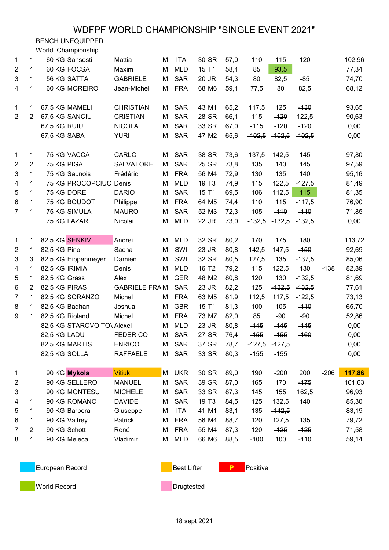BENCH UNEQUIPPED

World Championship

| 1              | 1              | 60 KG Sansosti             | Mattia               | М | <b>ITA</b> | 30 SR             | 57,0 | 110      | 115      | 120      |        | 102,96 |
|----------------|----------------|----------------------------|----------------------|---|------------|-------------------|------|----------|----------|----------|--------|--------|
| $\overline{2}$ | 1              | 60 KG FOCSA                | Maxim                | M | <b>MLD</b> | 15 T1             | 58,4 | 85       | 93,5     |          |        | 77,34  |
| 3              | 1              | 56 KG SATTA                | <b>GABRIELE</b>      | M | <b>SAR</b> | 20 JR             | 54,3 | 80       | 82,5     | $-85$    |        | 74,70  |
| 4              | 1              | 60 KG MOREIRO              | Jean-Michel          | M | <b>FRA</b> | 68 M6             | 59,1 | 77,5     | 80       | 82,5     |        | 68,12  |
|                |                |                            |                      |   |            |                   |      |          |          |          |        |        |
| 1              | 1              | 67,5 KG MAMELI             | <b>CHRISTIAN</b>     | М | <b>SAR</b> | 43 M1             | 65,2 | 117,5    | 125      | $-130$   |        | 93,65  |
| $\overline{2}$ | $\overline{2}$ | 67,5 KG SANCIU             | <b>CRISTIAN</b>      | M | <b>SAR</b> | 28 SR             | 66,1 | 115      | $-120$   | 122,5    |        | 90,63  |
|                |                | 67,5 KG RUIU               | <b>NICOLA</b>        | М | <b>SAR</b> | 33 SR             | 67,0 | $-115$   | $-120$   | $-120$   |        | 0,00   |
|                |                | 67,5 KG SABA               | <b>YURI</b>          | M | <b>SAR</b> | 47 M2             | 65,6 | $-102,5$ | $-102,5$ | $-102,5$ |        | 0,00   |
| 1              | 1              | 75 KG VACCA                | CARLO                | М | <b>SAR</b> | 38 SR             | 73,6 | 137,5    | 142,5    | 145      |        | 97,80  |
| $\overline{2}$ | $\overline{2}$ | 75 KG PIGA                 | <b>SALVATORE</b>     | М | <b>SAR</b> | 25 SR             | 73,8 | 135      | 140      | 145      |        | 97,59  |
| 3              | 1              | 75 KG Saunois              | Frédéric             | M | <b>FRA</b> | 56 M4             | 72,9 | 130      | 135      | 140      |        | 95,16  |
| 4              | 1              | 75 KG PROCOPCIUC Denis     |                      | M | <b>MLD</b> | 19 T <sub>3</sub> | 74,9 | 115      | 122,5    | $-127,5$ |        | 81,49  |
| 5              | 1              | 75 KG DORE                 | <b>DARIO</b>         | M | <b>SAR</b> | 15 T1             | 69,5 | 106      | 112,5    | 115      |        | 81,35  |
| 6              | 1              | 75 KG BOUDOT               | Philippe             | M | <b>FRA</b> | 64 M5             | 74,4 | 110      | 115      | $-117,5$ |        | 76,90  |
| $\overline{7}$ | 1              | 75 KG SIMULA               | <b>MAURO</b>         | M | <b>SAR</b> | 52 M3             | 72,3 | 105      | $-110$   | $-110$   |        | 71,85  |
|                |                | 75 KG LAZARI               | Nicolai              | M | <b>MLD</b> | 22 JR             | 73,0 | $-132,5$ | $-132,5$ | $-132,5$ |        | 0,00   |
|                |                |                            |                      |   |            |                   |      |          | 175      | 180      |        |        |
| 1              | 1              | 82,5 KG SENKIV             | Andrei               | M | <b>MLD</b> | 32 SR             | 80,2 | 170      |          |          |        | 113,72 |
| $\overline{2}$ | 1              | 82,5 KG Pino               | Sacha                | M | SWI        | 23 JR             | 80,8 | 142,5    | 147,5    | $-150$   |        | 92,69  |
| 3              | 3              | 82,5 KG Hippenmeyer        | Damien               | M | SWI        | 32 SR             | 80,5 | 127,5    | 135      | $-137,5$ |        | 85,06  |
| 4              | 1              | 82,5 KG IRIMIA             | Denis                | M | <b>MLD</b> | 16 T <sub>2</sub> | 79,2 | 115      | 122,5    | 130      | $-138$ | 82,89  |
| 5              | 1              | 82,5 KG Grass              | Alex                 | M | <b>GER</b> | 48 M2             | 80,8 | 120      | 130      | $-132,5$ |        | 81,69  |
| 6              | $\overline{2}$ | 82,5 KG PIRAS              | <b>GABRIELE FRAM</b> |   | <b>SAR</b> | 23 JR             | 82,2 | 125      | $-132,5$ | $-132,5$ |        | 77,61  |
| $\overline{7}$ | 1              | 82,5 KG SORANZO            | Michel               | M | <b>FRA</b> | 63 M <sub>5</sub> | 81,9 | 112,5    | 117,5    | $-122,5$ |        | 73,13  |
| 8              | 1              | 82,5 KG Badhan             | Joshua               | M | <b>GBR</b> | 15 T1             | 81,3 | 100      | 105      | $-110$   |        | 65,70  |
| 9              | $\mathbf{1}$   | 82,5 KG Rioland            | Michel               | M | <b>FRA</b> | 73 M7             | 82,0 | 85       | $-90$    | $-90$    |        | 52,86  |
|                |                | 82,5 KG STAROVOITO\ Alexei |                      | M | <b>MLD</b> | 23 JR             | 80,8 | $-145$   | $-145$   | $-145$   |        | 0,00   |
|                |                | 82,5 KG LADU               | <b>FEDERICO</b>      | M | <b>SAR</b> | 27 SR             | 76,4 | $-155$   | $-155$   | $-160$   |        | 0,00   |
|                |                | 82,5 KG MARTIS             | <b>ENRICO</b>        | M | <b>SAR</b> | 37 SR             | 78,7 | -127,5   | $-127,5$ |          |        | 0,00   |
|                |                | 82,5 KG SOLLAI             | <b>RAFFAELE</b>      | Μ | <b>SAR</b> | 33 SR             | 80,3 | $-155$   | $-155$   |          |        | 0,00   |
| 1              |                | 90 KG Mykola               | <b>Vitiuk</b>        | М | <b>UKR</b> | 30 SR             | 89,0 | 190      | $-200$   | 200      | $-206$ | 117,86 |
| $\overline{c}$ |                | 90 KG SELLERO              | <b>MANUEL</b>        | М | <b>SAR</b> | 39 SR             | 87,0 | 165      | 170      | $-175$   |        | 101,63 |
| 3              |                | 90 KG MONTESU              | <b>MICHELE</b>       | Μ | <b>SAR</b> | 33 SR             | 87,3 | 145      | 155      | 162,5    |        | 96,93  |
| 4              | 1              | 90 KG ROMANO               | <b>DAVIDE</b>        | M | <b>SAR</b> | 19 T <sub>3</sub> | 84,5 | 125      | 132,5    | 140      |        | 85,30  |
| 5              | 1              | 90 KG Barbera              | Giuseppe             | M | <b>ITA</b> | 41 M1             | 83,1 | 135      | $-142,5$ |          |        | 83,19  |
| 6              | 1              | 90 KG Valfrey              | Patrick              | M | <b>FRA</b> | 56 M4             | 88,7 | 120      | 127,5    | 135      |        | 79,72  |
| 7              | $\overline{2}$ | 90 KG Schott               | René                 | M | <b>FRA</b> | 55 M4             | 87,3 | 120      | $-125$   | $-125$   |        | 71,58  |
| 8              | 1              | 90 KG Meleca               | Vladimir             | М | <b>MLD</b> | 66 M6             | 88,5 | $-100$   | 100      | $-110$   |        | 59,14  |
|                |                |                            |                      |   |            |                   |      |          |          |          |        |        |

European Record **Best Lifter** P Positive

**World Record Communist Communist Communist Communist Communist Communist Communist Communist Communist Communist Communist Communist Communist Communist Communist Communist Communist Communist Communist Communist Communis**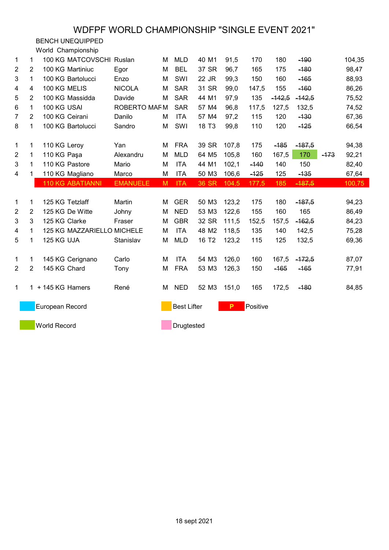BENCH UNEQUIPPED

World Championship

| $\mathbf 1$    | 1              | 100 KG MATCOVSCHI Ruslan   |                 | М | <b>MLD</b>         | 40 M1             | 91,5  | 170      | 180      | $-190$   |        | 104,35 |
|----------------|----------------|----------------------------|-----------------|---|--------------------|-------------------|-------|----------|----------|----------|--------|--------|
| $\overline{2}$ | $\overline{2}$ | 100 KG Martiniuc           | Egor            | M | <b>BEL</b>         | 37 SR             | 96,7  | 165      | 175      | $-180$   |        | 98,47  |
| 3              | 1              | 100 KG Bartolucci          | Enzo            | M | SWI                | 22 JR             | 99,3  | 150      | 160      | $-165$   |        | 88,93  |
| 4              | 4              | 100 KG MELIS               | <b>NICOLA</b>   | M | <b>SAR</b>         | 31 SR             | 99,0  | 147,5    | 155      | $-160$   |        | 86,26  |
| 5              | 2              | 100 KG Massidda            | Davide          | M | <b>SAR</b>         | 44 M1             | 97,9  | 135      | $-142,5$ | $-142,5$ |        | 75,52  |
| 6              | 1              | 100 KG USAI                | ROBERTO MAF M   |   | <b>SAR</b>         | 57 M4             | 96,8  | 117,5    | 127,5    | 132,5    |        | 74,52  |
| 7              | $\overline{2}$ | 100 KG Ceirani             | Danilo          | м | <b>ITA</b>         | 57 M4             | 97,2  | 115      | 120      | $-130$   |        | 67,36  |
| 8              | 1              | 100 KG Bartolucci          | Sandro          | M | SWI                | 18 T <sub>3</sub> | 99,8  | 110      | 120      | $-125$   |        | 66,54  |
| $\mathbf{1}$   | 1              | 110 KG Leroy               | Yan             | М | <b>FRA</b>         | 39 SR             | 107,8 | 175      | $-185$   | $-187,5$ |        | 94,38  |
| $\overline{2}$ | 1              | 110 KG Paşa                | Alexandru       | M | <b>MLD</b>         | 64 M <sub>5</sub> | 105,8 | 160      | 167,5    | 170      | $-173$ | 92,21  |
| 3              | 1              | 110 KG Pastore             | Mario           | M | <b>ITA</b>         | 44 M1             | 102,1 | $-140$   | 140      | 150      |        | 82,40  |
| 4              | 1              | 110 KG Magliano            | Marco           | M | <b>ITA</b>         | 50 M3             | 106,6 | $-125$   | 125      | $-135$   |        | 67,64  |
|                |                | <b>110 KG ABATIANNI</b>    | <b>EMANUELE</b> | M | <b>ITA</b>         | 36 SR             | 104,5 | 177,5    | 185      | $-187,5$ |        | 100,75 |
|                |                |                            |                 |   |                    |                   |       |          |          |          |        |        |
| 1              | 1              | 125 KG Tetzlaff            | Martin          | М | <b>GER</b>         | 50 M3             | 123,2 | 175      | 180      | $-187,5$ |        | 94,23  |
| $\overline{2}$ | $\overline{2}$ | 125 KG De Witte            | Johny           | M | <b>NED</b>         | 53 M3             | 122,6 | 155      | 160      | 165      |        | 86,49  |
| 3              | 3              | 125 KG Clarke              | Fraser          | M | <b>GBR</b>         | 32 SR             | 111,5 | 152,5    | 157,5    | $-162,5$ |        | 84,23  |
| 4              | 1              | 125 KG MAZZARIELLO MICHELE |                 | M | <b>ITA</b>         | 48 M2             | 118,5 | 135      | 140      | 142,5    |        | 75,28  |
| 5              | $\mathbf{1}$   | 125 KG UJA                 | Stanislav       | M | <b>MLD</b>         | 16 T <sub>2</sub> | 123,2 | 115      | 125      | 132,5    |        | 69,36  |
| 1              | 1              | 145 KG Cerignano           | Carlo           | M | <b>ITA</b>         | 54 M3             | 126,0 | 160      | 167,5    | $-172,5$ |        | 87,07  |
|                |                |                            |                 |   |                    |                   |       |          |          |          |        |        |
| $\overline{2}$ | $\overline{2}$ | 145 KG Chard               | Tony            | M | <b>FRA</b>         | 53 M3             | 126,3 | 150      | $-165$   | $-165$   |        | 77,91  |
|                |                |                            |                 |   |                    |                   |       |          |          |          |        |        |
| $\mathbf{1}$   |                | 1 + 145 KG Hamers          | René            | м | <b>NED</b>         | 52 M3             | 151,0 | 165      | 172,5    | $-180$   |        | 84,85  |
|                |                | European Record            |                 |   | <b>Best Lifter</b> |                   | P     | Positive |          |          |        |        |